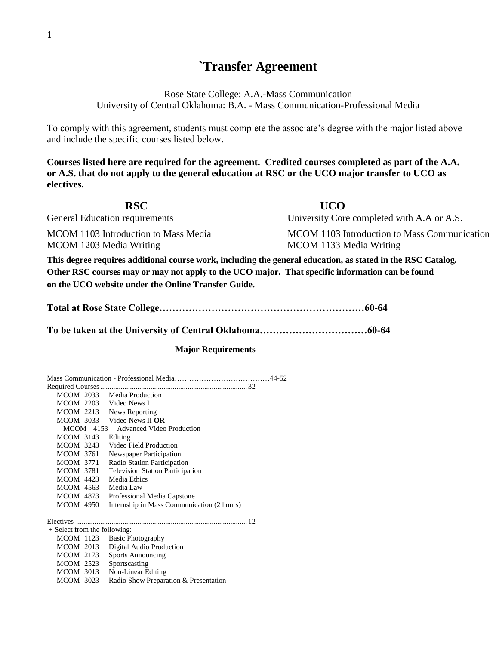## **`Transfer Agreement**

Rose State College: A.A.-Mass Communication University of Central Oklahoma: B.A. - Mass Communication-Professional Media

To comply with this agreement, students must complete the associate's degree with the major listed above and include the specific courses listed below.

**Courses listed here are required for the agreement. Credited courses completed as part of the A.A. or A.S. that do not apply to the general education at RSC or the UCO major transfer to UCO as electives.** 

| <b>RSC</b>                                                                                                  | <b>UCO</b>                                   |  |
|-------------------------------------------------------------------------------------------------------------|----------------------------------------------|--|
| General Education requirements                                                                              | University Core completed with A.A or A.S.   |  |
| MCOM 1103 Introduction to Mass Media                                                                        | MCOM 1103 Introduction to Mass Communication |  |
| MCOM 1203 Media Writing                                                                                     | MCOM 1133 Media Writing                      |  |
| This degree requires additional course work, including the general education, as stated in the RSC Catalog. |                                              |  |

**Other RSC courses may or may not apply to the UCO major. That specific information can be found on the UCO website under the Online Transfer Guide.**

## **Major Requirements**

Mass Communication - Professional Media…………………………………44-52 Required Courses............................................................................... 32 MCOM 2033 Media Production MCOM 2203 Video News I MCOM 2213 News Reporting MCOM 3033 Video News II **OR** MCOM 4153 Advanced Video Production MCOM 3143 Editing MCOM 3243 Video Field Production MCOM 3761 Newspaper Participation MCOM 3771 Radio Station Participation MCOM 3781 Television Station Participation MCOM 4423 Media Ethics MCOM 4563 Media Law MCOM 4873 Professional Media Capstone MCOM 4950 Internship in Mass Communication (2 hours)

Electives ............................................................................................ 12

+ Select from the following: MCOM 1123 Basic Photography MCOM 2013 Digital Audio Production MCOM 2173 Sports Announcing MCOM 2523 Sportscasting MCOM 3013 Non-Linear Editing MCOM 3023 Radio Show Preparation & Presentation